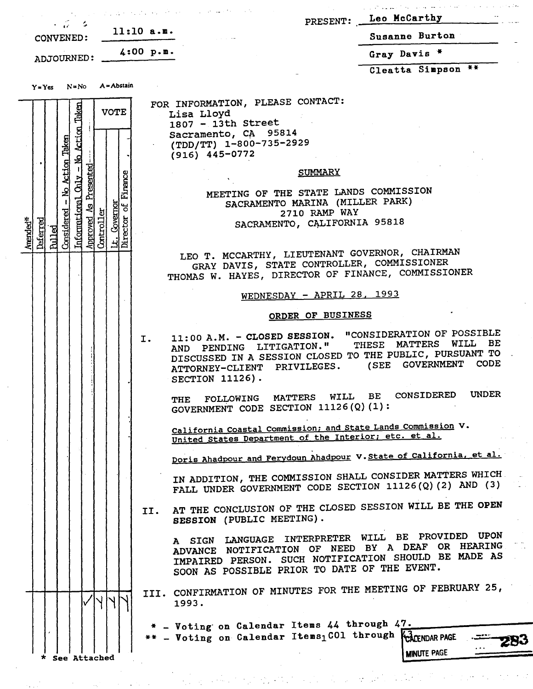| $\sim$ $\mathcal{L}$ $\sim$ $\sim$                                                                                       | $\mathcal{E}_\text{G}$ , and the second contribution of the contribution of the second contribution of the contribution of the contribution of the contribution of the contribution of the contribution of the contribution of the con                     | PRESENT: Leo McCarthy      |
|--------------------------------------------------------------------------------------------------------------------------|------------------------------------------------------------------------------------------------------------------------------------------------------------------------------------------------------------------------------------------------------------|----------------------------|
| <b>CONVENED:</b>                                                                                                         | $11:10$ a.m.                                                                                                                                                                                                                                               | Susanne Burton             |
| ADJOURNED: 4:00 p.m.                                                                                                     |                                                                                                                                                                                                                                                            | Gray Davis *               |
| A = Abstain<br>$Y = Yes$ $N = No$                                                                                        |                                                                                                                                                                                                                                                            | Cleatta Simpson **         |
| Informational Only - No Action Taken<br><b>VOTE</b><br><b>Action Taken</b><br>Presented<br>Firance<br>اع<br>ا<br>್ರ<br>의 | FOR INFORMATION, PLEASE CONTACT:<br>Lisa Lloyd<br>1807 - 13th Street<br>Sacramento, CA 95814<br>(TDD/TT) 1-800-735-2929<br>$(916)$ 445-0772<br><u>SUMMARY</u><br>MEETING OF THE STATE LANDS COMMISSION<br>SACRAMENTO MARINA (MILLER PARK)<br>2710 RAMP WAY |                            |
| Governor<br>Considered<br>Controller<br>ector<br>Approved<br>Deferred<br>Amended*<br><b>Rulled</b><br>궦                  | SACRAMENTO, CALIFORNIA 95818<br>LEO T. MCCARTHY, LIEUTENANT GOVERNOR, CHAIRMAN<br>GRAY DAVIS, STATE CONTROLLER, COMMISSIONER                                                                                                                               |                            |
|                                                                                                                          | THOMAS W. HAYES, DIRECTOR OF FINANCE, COMMISSIONER<br>WEDNESDAY - APRIL 28, 1993                                                                                                                                                                           |                            |
|                                                                                                                          | ORDER OF BUSINESS                                                                                                                                                                                                                                          |                            |
|                                                                                                                          | 11:00 A.M. - CLOSED SESSION. "CONSIDERATION OF POSSIBLE<br>Ι.<br>AND PENDING LITIGATION." THESE MATTERS WILL BE<br>DISCUSSED IN A SESSION CLOSED TO THE PUBLIC, PURSUANT TO -<br>ATTORNEY-CLIENT PRIVILEGES. (SEE GOVERNMENT CODE<br>SECTION $11126$ ).    |                            |
|                                                                                                                          | THE FOLLOWING MATTERS WILL BE<br>GOVERNMENT CODE SECTION 11126(Q)(1):                                                                                                                                                                                      | <b>UNDER</b><br>CONSIDERED |
|                                                                                                                          | California Coastal Commission; and State Lands Commission V.<br>United States Department of the Interior; etc. et al.                                                                                                                                      |                            |
|                                                                                                                          | Doris Ahadpour and Ferydoun Ahadpour V. State of California, et al.                                                                                                                                                                                        |                            |
|                                                                                                                          | IN ADDITION, THE COMMISSION SHALL CONSIDER MATTERS WHICH.<br>FALL UNDER GOVERNMENT CODE SECTION 11126(Q)(2) AND (3)                                                                                                                                        |                            |
|                                                                                                                          | AT THE CONCLUSION OF THE CLOSED SESSION WILL BE THE OPEN<br>II.<br>SESSION (PUBLIC MEETING).                                                                                                                                                               |                            |
|                                                                                                                          | A SIGN LANGUAGE INTERPRETER WILL BE PROVIDED UPON<br>ADVANCE NOTIFICATION OF NEED BY A DEAF OR HEARING<br>IMPAIRED PERSON. SUCH NOTIFICATION SHOULD BE MADE AS<br>SOON AS POSSIBLE PRIOR TO DATE OF THE EVENT.                                             |                            |
|                                                                                                                          | III. CONFIRMATION OF MINUTES FOR THE MEETING OF FEBRUARY 25,<br>1993.                                                                                                                                                                                      |                            |
| * See Attached                                                                                                           | * - Voting on Calendar Items 44 through 47.<br>** - Voting on Calendar Items <sub>1</sub> CO1 through <i>KATENDAR PAGE</i>                                                                                                                                 | <b>MINUTE PAGE</b>         |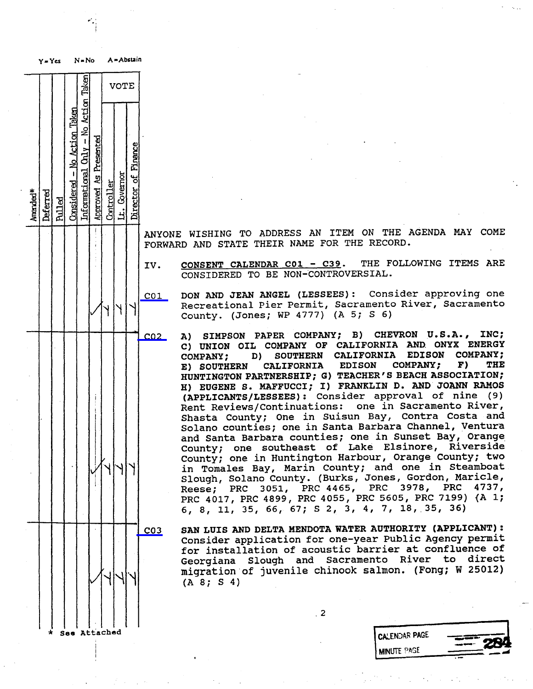

ANYONE WISHING TO ADDRESS AN ITEM ON THE AGENDA MAY COME FORWARD AND STATE THEIR NAME FOR THE RECORD.

IV. CONSENT CALENDAR C01 - C39. THE FOLLOWING ITEMS ARE CONSIDERED TO BE NON-CONTROVERSIAL.

- C01 DON AND JEAN ANGEL (LESSEES) : Consider approving one Recreational Pier Permit, Sacramento River, Sacramento County. (Jones; WP 4777) (A 5; S 6)
- CO2 A) SIMPSON PAPER COMPANY; B) CHEVRON U.S.A., INC; C) UNION OIL COMPANY OF CALIFORNIA AND ONYX ENERGY<br>COMPANY; D) SOUTHERN CALIFORNIA EDISON COMPANY; SOUTHERN CALIFORNIA EDISON CON<br>CALIFORNIA EDISON COMPANY; F) E) SOUTHERN CALIFORNIA EDISON COMPANY; F) TH HUNTINGTON PARTNERSHIP; G) TEACHER'S BEACH ASSOCIATION; H) EUGENE S. MAFFUCCI; I) FRANKLIN D. AND JOANN RAMOS (APPLICANTS/LESSEES) : Consider approval of nine (9) Rent Reviews/Continuations: one in Sacram Shasta County; One in Suisun Bay, Contra<br>Costa County; One in Canta Darbara Char Solano counties; one in Santa Barbara Channel, Ventura and Santa Barbara counties; one in Sunset Bay, Orange County; one southeast of Lake Elsinore, Riverside County; one in Huntington Harbour, Orange County; two in Tomales Bay, Marin County; and one in Steamboat Slough, Solano County. (Burks, Jones, Gordon, Maricle, Reese; PRC 3051, PRC 4465, PRC 3978, PRC 4737, PRC 4017, PRC 4899, PRC 4055, PRC 5605, PRC 7199) (A 1; 6, 8, 11, 35, 66, 67; S 2, 3, 4, 7, 18, 35, 36)
- 

C03 SAN LUIS AND DELTA MENDOTA WATER AUTHORITY (APPLICANT) : Consider application for one-year Public Agency permit for installation of acoustic barrier at confluence of Georgiana Slough and Sacramento River to direct migration of juvenile chinook salmon. (Fong; W 25012) (A 8; S 4)

 $\overline{\phantom{a}}$ .

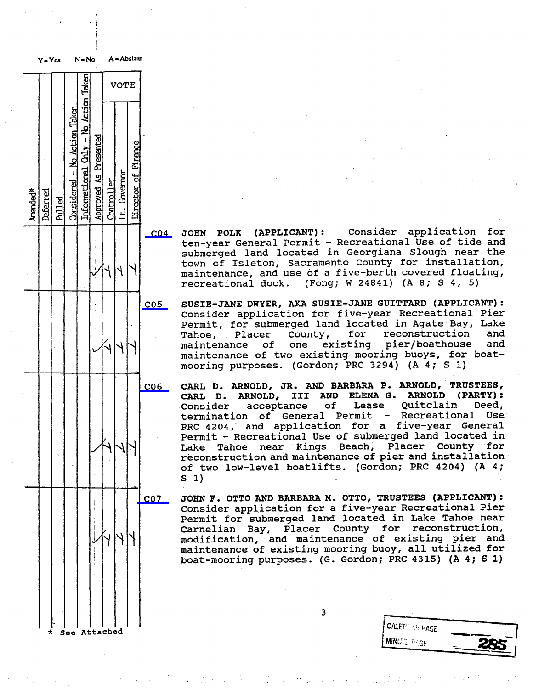

- for C04 JOHN POLK (APPLICANT): Consider application ten-year General Permit - Recreational Use submerged land located in Georgiana Slough near the town of Isleton, Sacramento County for installation, maintenance, and use of a five-berth covered floating,<br>recreational dock. (Fong; W 24841) (A 8; S 4, 5) recreational dock.
- C05 SUSIE-JANE DWYER, AKA SUSIE-JANE GUITTARD (APPLICANT) : consider application for five-year Recreational Pier Permit, for submerged land located in Agate Bay, Lake Tahoe, Placer County, for reconstruction and<br>maintenance of one existing pier/boathouse and pier/boathouse maintenance of two existing mooring buoys, for boatmooring purposes. (Gordon; PRC 3294) (A 4; S 1)
- CO6 CARL D. ARNOLD, JR. AND BARBARA P. ARNOLD, TRUSTEES, CARL D. ARNOLD, III AND ELENA G. ARNOLD (PARTY) : acceptance of Lease Quitclaim I<br>1 of General Permit - Recreational termination of General Permit **Use** PRC 4204, and application for a five-year General Permit - Recreational Use of submerged land located in Lake Tahoe near Kings Beach, Placer County for reconstruction and maintenance of pier and installation of two low-level boatlifts. (Gordon; PRC 4204) (A 4; S 1)
- C07 JOHN F. OTTO AND BARBARA M. OTTO, TRUSTEES (APPLICANT) : Consider application for a five-year Recreational Pier Permit for submerged land located in Lake Tahoe near Carnelian Bay, Placer County for reconstruction, modification, and maintenance of existing pier and maintenance of existing mooring buoy, all utilized for boat-mooring purposes. (G. Gordon; PRC 4315) (A 4; S 1)

 $\overline{3}$ 

| <b>CALENT BE PAGE</b> |  |
|-----------------------|--|
| <b>MINUTE PAGE</b>    |  |
|                       |  |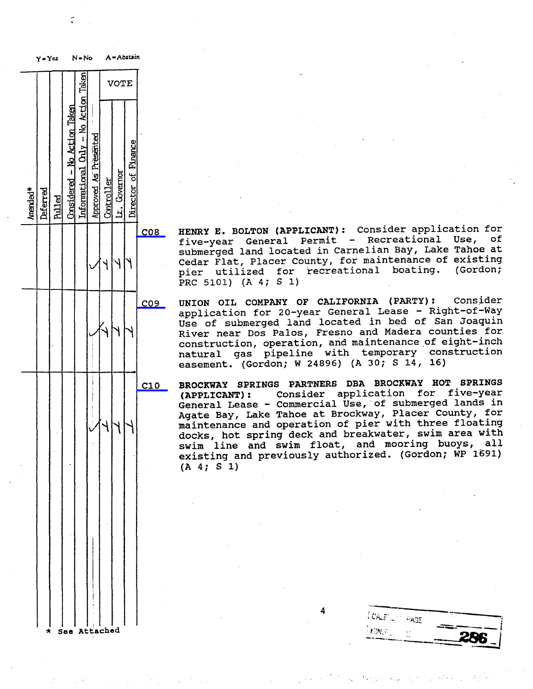

C08 HENRY E. BOLTON (APPLICANT): Consider application for<br>five-year General Permit - Recreational Use, of submerged land located in Carnelian Bay, Lake Tahoe at Cedar Flat, Placer County, for maintenance of existing pier utilized for recreational boating. (Gordon; PRC 5101) (A 4; S 1)

C09 UNION OIL COMPANY OF CALIFORNIA (PARTY) : Consider application for 20-year General Lease - Right-of-Way Use of submerged land located in bed of San Joaquin River near Dos Palos, Fresno and Madera counties for construction, operation, and maintenance of eight-inch natural gas pipeline with temporary construction easement. (Gordon; W 24896) (A 30; S 14, 16)

C10 BROCKWAY SPRINGS PARTNERS DBA BROCKWAY HOT SPRINGS<br>(APPLICANT): Consider application for five-year (APPLICANT): Consider application for General Lease - Commercial Use, of submer Agate Bay, Lake Tahoe at Brockway, Placer County, for maintenance and operation of pier with three floating docks, hot spring deck and breakwater, swim area with swim line and swim float, and mooring buoys, all existing and previously authorized. (Gordon; WP 1691) (A 4; S 1)

 $I$  CALE  $\subset$   $\circ$   $\rho_{\text{AGE}}$  $\sim$  286 Attached 286  $\sim$  286  $\sim$  286  $\sim$  286  $\sim$  286  $\sim$  286  $\sim$  286  $\sim$  286  $\sim$  286  $\sim$  286  $\sim$  286  $\sim$  286  $\sim$  286  $\sim$  286  $\sim$  286  $\sim$  286  $\sim$  286  $\sim$  286  $\sim$  286  $\sim$  286  $\sim$  286  $\sim$  286  $\sim$  286

. . . .

A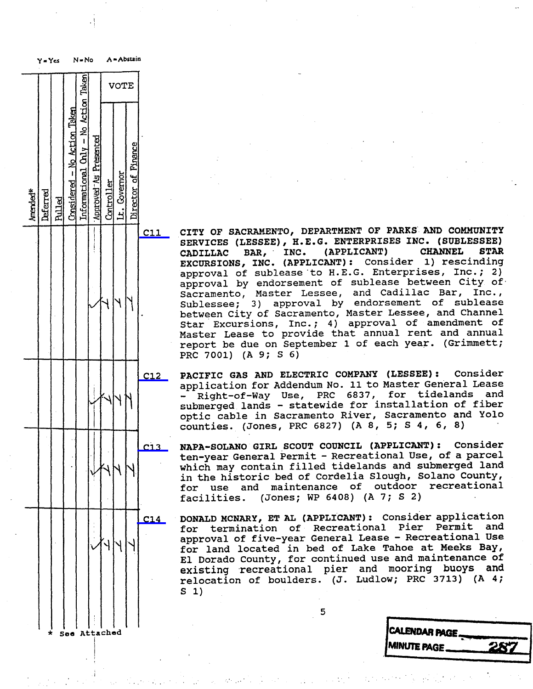

cl1 CITY OF SACRAMENTO, DEPARTMENT OF PARKS AND COMMUNITY SERVICES (LESSEE), H.E.G. ENTERPRISES INC. (SUBLESSEE)<br>CADILLAC BAR, INC. (APPLICANT) CHANNEL STAR CADILLAC BAR, ' INC. (APPLICANT) CHANNEL STAR EXCURSIONS, INC. (APPLICANT): CONSIGET 1) res approval of sublease to H.E.G. Enterprises, Inc.; 2) approval by endorsement of sublease between city of. Sacramento, Master Lessee, and Cadillac Bar, Inc. , Sublessee; 3) approval by endorsement of sublease between City of Sacramento, Master Lessee, and Channel Star Excursions, Inc.; 4) approval of amendment of Master Lease to provide that annual rent and annual report be due on September 1 of each year. (Grimmett; PRC 7001) (A 9; S 6)

C12 PACIFIC GAS AND ELECTRIC COMPANY (LESSEE) : Consider application for Addendum No. 11 to Master General Lease<br>- Right-of-Way Use, PRC 6837, for tidelands and and submerged lands - statewide for installation of fiber optic cable in Sacramento River, Sacramento and Yolo counties. (Jones, PRC 6827) (A 8, 5; S 4, 6, 8)

C13 NAPA-SOLANO GIRL SCOUT COUNCIL (APPLICANT) : Consider ten-year General Permit - Recreational Use, of a parcel which may contain filled tidelands and submerged land<br>in the historic bed of Cordelia Slough, Solano County, for use and maintenance of outdoor recreational<br>facilities. (Jones; WP 6408) (A 7; S 2) (Jones; WP 6408) (A 7; S 2)

C14 DONALD MCNARY, ET AL (APPLICANT) : Consider application for termination of Recreational approval of five-year General Lease - Recreational Use for land located in bed of Lake Tahoe at Meeks Bay, El Dorado County, for continued use and maintenance of existing recreational pier and moori relocation of boulders. (J. Ludlow; PR s 1)

**AINUTE PAGE**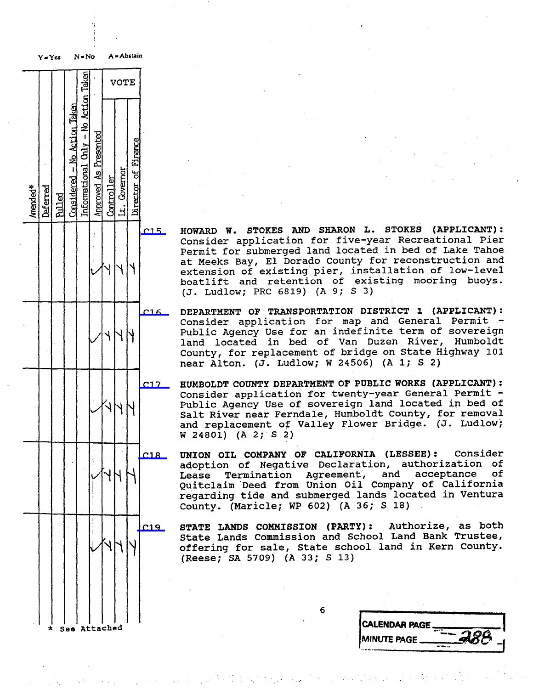Taken VOTE Action Action Taken َّعِ  $\mathbf I$ Firance Ğ £ ድ  $\mathbf{I}$ Governor ں<br>ما ন্ত Amended Deferred Pulled Considered - No Action Taken Informational Only - No Action Taken Approved As Presented Controller Lt. Governor Director of Finance Seo Attached

Y - Yes N = No A = Abstain

C15 HOWARD W. STOKES AND SHARON L. STOKES (APPLICANT) : Consider application for five-year Recreational Pier Permit for submerged land located in bed of Lake Tahoe at Meeks Bay, El Dorado County for reconstruction and extension of existing pier, installation of low-level boatlift and retention of existing mooring buoys. (J. Ludlow; PRC 6819) (A 9; S 3)

C16 DEPARTMENT OF TRANSPORTATION DISTRICT 1 (APPLICANT) : Consider application for map and General Permit -Public Agency Use for an indefinite term of sovereign land located in bed of Van Duzen River, Humboldt County, for replacement of bridge on State Highway 101 near Alton. (J. Ludlow; W 24506) (A 1; S 2)

C17 HUMBOLDT COUNTY DEPARTMENT OF PUBLIC WORKS (APPLICANT) : Consider application for twenty-year General Permit - Public Agency Use of sovereign land located in bed of Salt River near Ferndale, Humboldt County, for removal and replacement of Valley Flower Bridge. (J. Ludlow; W 24801) (A 2; S 2)

C18 UNION OIL COMPANY OF CALIFORNIA (LESSEE) : Consider adoption of Negative Declaration, authorization of<br>Lease Termination Agreement, and acceptance of Termination Agreement, and acceptance of Quitclaim Deed from Union Oil Company of California regarding tide and submerged lands located in Ventura County. (Maricle; WP 602) (A 36; S 18)

C19 STATE LANDS COMMISSION (PARTY) : Authorize, as both State Lands Commission and School Land B offering for sale, State school land in Kern County. (Reese; SA 5709) (A 33; S 13)

| <b>CALENDAR PAGE.</b> |  |
|-----------------------|--|
| <b>IMINUTE PAGE</b>   |  |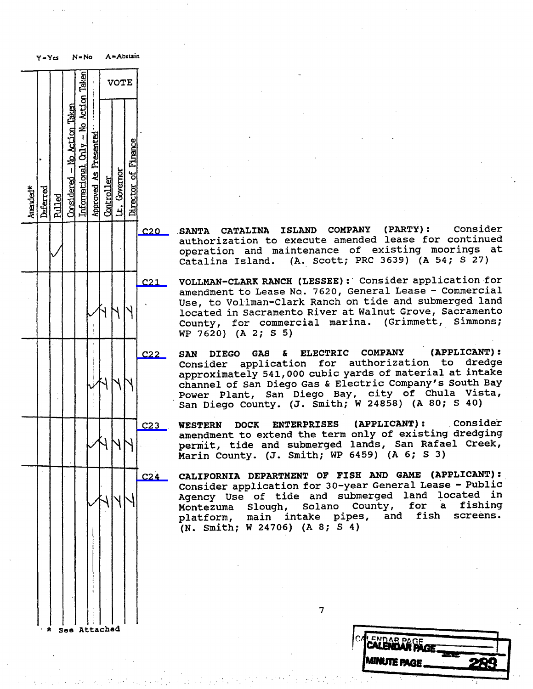Y=Yes N=No A=Abstain Taken VOTE ktim Taken  $rac{1}{2}$ No Action 8 Finance  $\mathbf{I}$ Governor 49 ಕ Amended Deferred Pulled Considered - No Action Taken Informational Only - No Action Taken Approved As Presented Controller Lt. Governor Director of Finance See Attached

C20 .SANTA CATALINA ISLAND COMPANY (PARTY) : Consider authorization to execute amended lease i operation and maintenance of existing moorings at<br>Catalina Island. (A. Scott; PRC 3639) (A 54; S 27) (A. Scott; PRC 3639) (A 54; S 27)

C21 VOLLMAN-CLARK RANCH (LESSEE) : Consider application for amendment to Lease No. 7620, General Lease - Commercial Use, to Vollman-Clark Ranch on tide and submerged land located in Sacramento River at Walnut Grove, Sacramento County, for commercial marina. (Grimmett, Simmons; WP 7620) (A 2; S 5)

C22 SAN DIEGO GAS & ELECTRIC COMPANY (APPLICANT) : Consider application for authoriz approximately 541, 000 cubic yards of material at intake channel of San Diego Gas & Electric Company's South Bay Power Plant, San Diego Bay, city of Chula Vista, San Diego County. (J. Smith; W 24858) (A 80; S 40)

C23 WESTERN DOCK ENTERPRISES (APPLICANT): Consider amendment to extend the term only of existi permit, tide and submerged lands, San Rafael Creek, Marin County. (J. Smith; WP 6459) (A 6; \$ 3)

C24 CALIFORNIA DEPARTMENT OF FISH AND GAME (APPLICANT) : Consider application for 30-year General Lease - Public Agency Use of tide and submerged land located in<br>Montezuma Slough, Solano County, for a fishing Montezuma Slough, Solano County, for a fishing main intake pipes, (N. Smith; W 24706) (A 8; S 4)

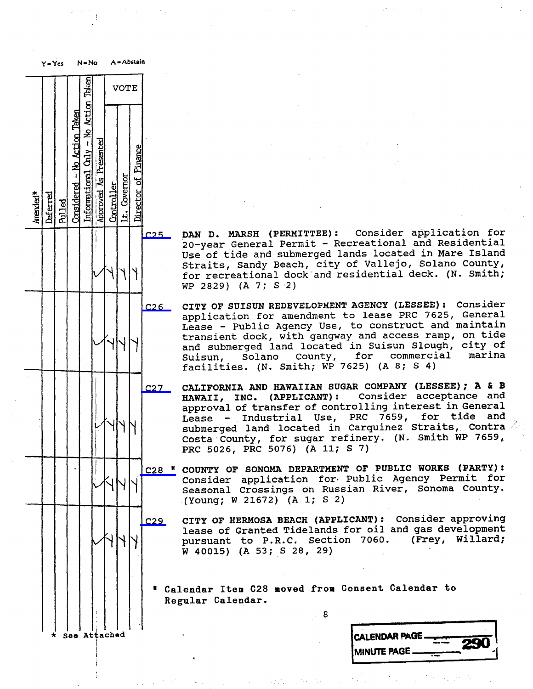

C25 DAN D. MARSH (PERMITTEE): Consider application for the formulation of the formulation for the formulation of the formulation of the formulation of the formulation of the formulation of the formulation of the formulatio 20-year General Permit - Recreational and Residential Use of tide and submerged lands located in Mare Island Straits, Sandy Beach, city of Vallejo, Solano County, for recreational dock and residential deck. (N. Smith; WP 2829) (A 7; S .2)

C26 CITY OF SUISUN REDEVELOPMENT AGENCY (LESSEE) : Consider application for amendment to lease PRC 7625, General Lease - Public Agency Use, to construct and maintain<br>transient dock, with gangway and access ramp, on tide and submerged land located in Suisun Slough, city of<br>Suisun, Solano County, for commercial marina Suisun, Solano County, for commercial marin facilities. (N. Smith; WP 7625)

C27 CALIFORNIA AND HAWAIIAN SUGAR COMPANY (LESSEE); A & B<br>HAWAII, INC. (APPLICANT): Consider acceptance and HAWAII, INC. (APPLICANT): Consider acceptai approval of transfer of controlling in Lease - Industrial Use, PRC 7659, for tide and submerged land located in Carquinez Straits, Contra  $\ge$ Costa County, for sugar refinery. (N. Smith WP 7659, PRC 5026, PRC 5076) (A 11; S 7)

C28 \* COUNTY OF SONOMA DEPARTMENT OF PUBLIC WORKS (PARTY): Consider application for Public Agency Permit for Seasonal Crossings on Russian River, Sonoma County. (Young; W 21672) (A 1; S 2)

C29 CITY OF HERMOSA BEACH (APPLICANT) : Consider approving lease of Granted Tidelands for oil and gas development<br>pursuant to P.R.C. Section 7060. (Frey, Willard; pursuant to P.R.C. Section 7060. W 40015) (A 53; S 28, 29)

\* Calendar Item C28 moved from Consent Calendar to Regular Calendar.

| * See Attached | <b>CALENDAR PAGE </b>                                              |
|----------------|--------------------------------------------------------------------|
|                | $\overline{\bf{r}}$<br><b>South Winds</b><br>$\boldsymbol{\omega}$ |
|                | <b>MINUTE PAGE</b><br>$-$                                          |
|                |                                                                    |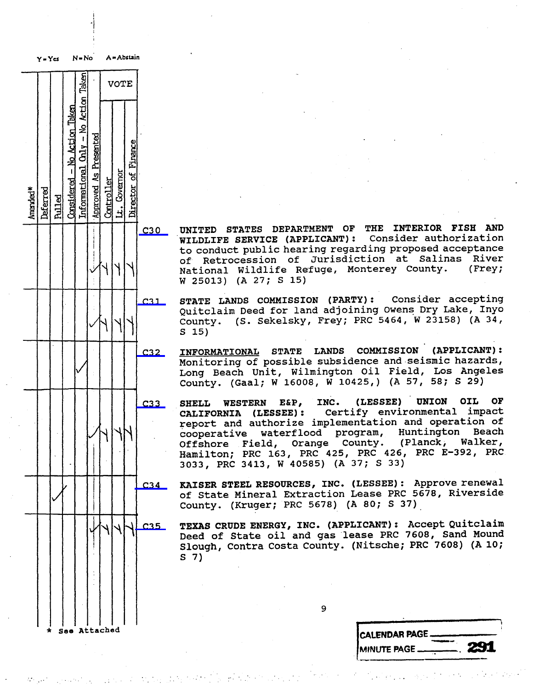Taken VOTE Action Taken  $\tilde{z}$ ktim  $\mathbf{I}$ **Chily** Finance Ł  $\mathbf{I}$ Governor ন্ন ಕ  $\mathbb{E}[\mathcal{A}]$  and  $\mathcal{A}[\mathcal{A}]$  and  $\mathcal{A}[\mathcal{A}]$  and  $\mathcal{A}[\mathcal{A}]$ 

 $Y = Ycs$   $N = No$   $A = Abstain$ 

C30 UNITED STATES DEPARTMENT OF THE INTERIOR FISH AND<br>WILDLIFE SERVICE (APPLICANT): Consider authorization WILDLIFE SERVICE (APPLICANT): to conduct public hearing regarding proposed acceptance of Retrocession of Jurisdiction at Salinas River National Wildlife Refuge, Monterey County. (Frey; W 25013) (A 27; S 15)

C31 STATE LANDS COMMISSION (PARTY) : Consider accepting Quitclaim Deed for land adjoining Owens Dry Lake, Inyo County. (S. Sekelsky, Frey; PRC 5464, W 23158) (A 34, S 15)

C32 INFORMATIONAL STATE LANDS COMMISSION (APPLICANT) Monitoring of possible subsidence and seism.<br>The hazards of hazards, had a seisman stall and a seisman seisman seisman. Long Beach Unit, Wilmington Oil Field, Los Angeles County. (Gaal; W 16008, W 10425, ) (A 57, 58; S 29)

C33 SHELL WESTERN E&P, INC. (LESSEE) UNION OIL OF<br>CALIFORNIA (LESSEE): Certify environmental impact OF CALIFORNIA (LESSEE): report and authorize implementation and operation of cooperative waterflood program, Huntington Beach<br>Offshore Field, Orange County. (Planck, Walker, Offshore Field, Orange County. Hamilton; PRC 163, PRC 425, PRC 426, PRC E-392, PRC 3033, PRC 3413, W 40585) (A 37; S 33)

234 KAISER STEEL RESOURCES, INC. (LESSEE) : Approve renewal of State Mineral Extraction Lease PRC 5678, Riverside County. (Kruger; PRC 5678) (A 80; S 37)

HANN C35 TEXAS CRUDE ENERGY, INC. (APPLICANT): Accept Quitclair<br>Deed of State oil and gas lease PRC 7608, Sand Mound Slough, Contra Costa County. (Nitsche; PRC 7608) (A 10; S 7)

| .            |               |
|--------------|---------------|
| See Attached | CALENDAR PAGE |
|              |               |
|              |               |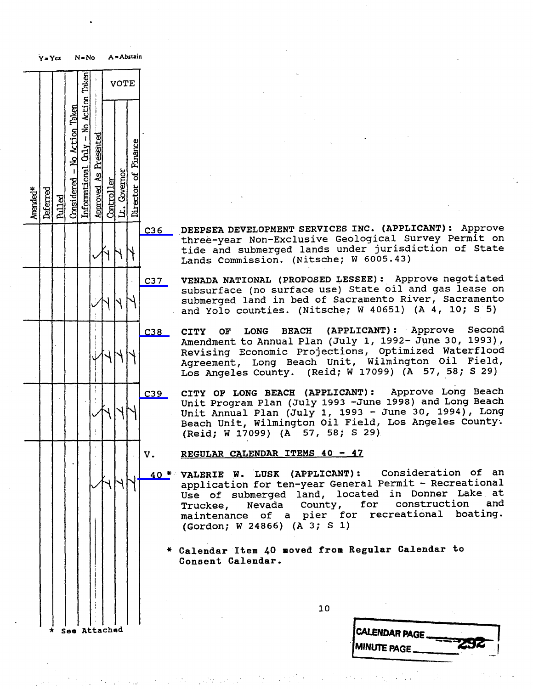|                                                                                                                                                                                                                                                  | A = Abstain |                                                    |  | $N = No$  |                                             |                          |               | $Y = Ycs$ |                      |  |  |
|--------------------------------------------------------------------------------------------------------------------------------------------------------------------------------------------------------------------------------------------------|-------------|----------------------------------------------------|--|-----------|---------------------------------------------|--------------------------|---------------|-----------|----------------------|--|--|
|                                                                                                                                                                                                                                                  |             | <b>VOTE</b>                                        |  |           | Taken                                       |                          |               |           |                      |  |  |
|                                                                                                                                                                                                                                                  |             |                                                    |  |           | No Action                                   |                          |               |           |                      |  |  |
|                                                                                                                                                                                                                                                  | Finance     |                                                    |  | Presented | $Considered - No Acti\nInformational Ohy -$ | <u>– No Action Taken</u> |               |           |                      |  |  |
|                                                                                                                                                                                                                                                  | Director of | Approved As Products<br>Controller<br>Lt. Governor |  |           |                                             |                          |               |           |                      |  |  |
|                                                                                                                                                                                                                                                  |             |                                                    |  |           |                                             |                          | <u>Pulled</u> | Deferred  | Amended <sup>*</sup> |  |  |
| DEEPSEA DEVELOPMENT SERVICES INC. (APPLIC)<br>C36<br>three-year Non-Exclusive Geological Surv<br>tide and submerged lands under jurisdict<br>Lands Commission. (Nitsche; W 6005.43)                                                              |             |                                                    |  |           |                                             |                          |               |           |                      |  |  |
| VENADA NATIONAL (PROPOSED LESSEE): Appro<br>C37<br>subsurface (no surface use) State oil and<br>submerged land in bed of Sacramento Rive:<br>and Yolo counties. (Nitsche; W 40651) (A                                                            |             |                                                    |  |           |                                             |                          |               |           |                      |  |  |
| BEACH (APPLICANT): App<br>C38<br><b>LONG</b><br><b>CITY</b><br>OF<br>Amendment to Annual Plan (July 1, 1992- Ju<br>Revising Economic Projections, Optimize<br>Agreement, Long Beach Unit, Wilmingtor<br>Los Angeles County. (Reid; W 17099) (A 5 |             |                                                    |  |           |                                             |                          |               |           |                      |  |  |
| CITY OF LONG BEACH (APPLICANT):<br>Approv<br>C39<br>Unit Program Plan (July 1993 -June 1998) a<br>Unit Annual Plan (July 1, 1993 - June 30<br>Beach Unit, Wilmington Oil Field, Los And<br>(Reid; W 17099) (A 57, 58; S 29)                      |             |                                                    |  |           |                                             |                          |               |           |                      |  |  |
| REGULAR CALENDAR ITEMS 40 - 47<br>v.                                                                                                                                                                                                             |             |                                                    |  |           |                                             |                          |               |           |                      |  |  |
| 40 * VALERIE W. LUSK (APPLICANT): Consider<br>application for ten-year General Permit -<br>Use of submerged land, located in Dor<br>for const<br>Truckee, Nevada County,<br>maintenance of a pier for recreation<br>(Gordon; W 24866) (A 3; S 1) |             |                                                    |  |           |                                             |                          |               |           |                      |  |  |
| * Calendar Item 40 moved from Regular Calen<br>Consent Calendar.                                                                                                                                                                                 |             |                                                    |  |           |                                             |                          |               |           |                      |  |  |
| 10                                                                                                                                                                                                                                               |             |                                                    |  |           |                                             |                          |               |           |                      |  |  |
| <b>CALENDAR PAGE</b>                                                                                                                                                                                                                             |             |                                                    |  |           | See Attached                                |                          |               |           |                      |  |  |

C36 DEEPSEA DEVELOPMENT SERVICES INC. (APPLICANT): Approve three-year Non-Exclusive Geological Surve tide and submerged lands under jurisdiction of State Lands Commission. (Nitsche; W 6005.43)

- 7 VENADA NATIONAL (PROPOSED LESSEE) : Approve negotiated subsurface (no surface use) State oil and gas lease on submerged land in bed of Sacramento River, Sacramento and Yolo counties. (Nitsche; W 40651) (A 4, 10; s 5)
- Second C38 CITY OF LONG BEACH (APPLICANT): App Amendment to Annual Plan (July 1, 1992- June 3 Revising Economic Projections, Optimized Waterflood Agreement, Long Beach Unit, Wilmington Oil Field, Los Angeles County. (Reid; W 17099) (A 57, 58; S 29)

9 CITY OF LONG BEACH (APPLICANT): Approve Long Beach Unit Program Plan (July 1993 -June 1998) and Long Beach Unit Annual Plan (July 1, 1993 - June 30, 1994) , Long Beach Unit, Wilmington Oil Field, Los Angeles County. (Reid; W 17099) (A 57, 58; S 29)

- REGULAR CALENDAR ITEMS 40 47
- 0 \* VALERIE W. LUSK (APPLICANT): Consideration of an application for ten-year General Permit - Recreational Use of submerged land, located in Donner Lake at Truckee, Nevada County, for construction and maintenance of a pier for recreational b (Gordon; W 24866) (A 3; S 1)
	- \* Calendar Item 40 moved from Regular Calendar to Consent Calendar.
		- 10

| CALENDAR PAGE      |  |
|--------------------|--|
|                    |  |
| <b>MINUTE PAGE</b> |  |
|                    |  |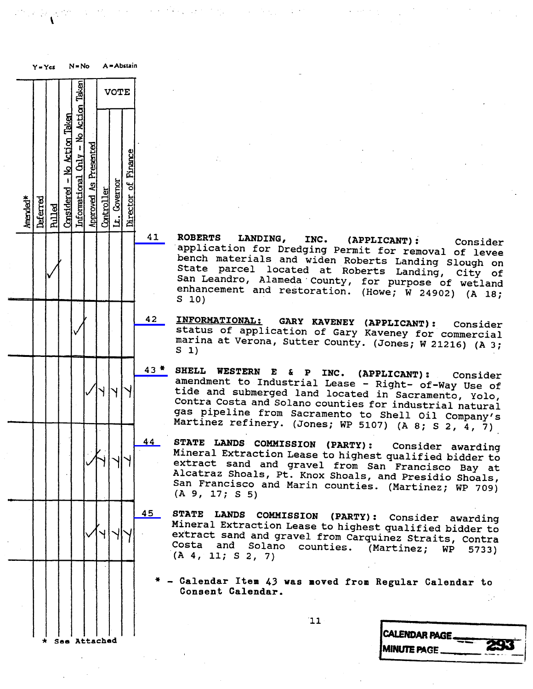| $N = No$<br>$Y = Yes$ |          |               |                              |                                      |                       |            |              | A = Abstain         |    |                                                                             |
|-----------------------|----------|---------------|------------------------------|--------------------------------------|-----------------------|------------|--------------|---------------------|----|-----------------------------------------------------------------------------|
|                       |          |               |                              |                                      |                       |            | <b>VOTE</b>  |                     |    |                                                                             |
| Amended <sup>*</sup>  | Deferred | <b>Pulled</b> | Considered - No Action Taken | Informational Only - No Action Taken | Approved As Presented | Controller | Lt. Covernor | Director of Finance |    |                                                                             |
|                       |          |               |                              |                                      |                       |            |              |                     | 41 | <b>ROBERT</b><br>applic<br>bench<br>State<br>San Lea<br>enhance<br>S<br>10) |
|                       |          |               |                              |                                      |                       |            |              |                     | 42 | <u>INFORMI</u><br>status<br>marina<br>S<br>1)                               |
|                       |          |               |                              |                                      |                       |            |              |                     | 43 | <b>SHELL</b><br>amendme<br>tide<br>ar<br>Contra<br>gas pi<br>Martine        |
|                       |          |               |                              |                                      |                       |            |              |                     | 44 | <b>STATE</b><br>Minera<br>ι1<br>extract<br>Alcatra<br>San Fra<br>(A, 9, 1)  |
|                       |          |               |                              |                                      |                       |            |              |                     | 45 | <b>STATE</b><br>Mineral<br>extract<br>Costa<br>(A, 4, 1)                    |
|                       |          |               |                              |                                      |                       |            |              |                     |    | Calend<br>Consen                                                            |
|                       | $\star$  |               | See Attached                 |                                      |                       |            |              |                     |    |                                                                             |

- 41 ROBERTS LANDING, INC. (APPLICANT) : Consider application for Dredging Permit for removal of levee bench materials and widen Roberts Landing Slough on State parcel located at Roberts Landing, city of San Leandro, Alameda County, for purpose of wetland enhancement and restoration. (Howe;  $\hat{W}$  24902) (A 18; S 10)
- 42 INFORMATIONAL: GARY KAVENEY (APPLICANT) : Consider status of application of Gary Kaveney for commercial marina at Verona, Sutter County. (Jones; W 21216) (A 3; S 1)
- 43 \* SHELL WESTERN E & P INC. (APPLICANT) : Consider amendment to Industrial Lease Right- of-Way Use of tide and submerged land located in Sacramento, Yolo, Contra Costa and Solano counties for industrial natural gas pipeline from Sacramento to Shell oil Company's Martinez refinery. (Jones; WP 5107) (A 8; S 2, 4, 7)
- 44 STATE LANDS COMMISSION (PARTY) : Consider awarding Mineral Extraction Lease to highest qualified bidder to extract sand and gravel from San Francisco Bay at Alcatraz Shoals, Pt. Knox Shoals, and Presidio Shoals, San Francisco and Marin counties. (Martinez; WP 709) (A 9, 17; S 5)
- 45 STATE LANDS COMMISSION (PARTY) : Consider awarding extract sand and gravel from Carquinez Straits, Contra Costa and Solano counties. (Martinez; WP 5733)  $(A, 4, 11; S, 2, 7)$

Calendar Item 43 was moved from Regular Calendar to Consent Calendar.

|  | ×<br>I |
|--|--------|
|  |        |

| CALENDAR PAGE       |        |
|---------------------|--------|
| <b>MINUTE PAGE.</b> | $-293$ |
|                     |        |